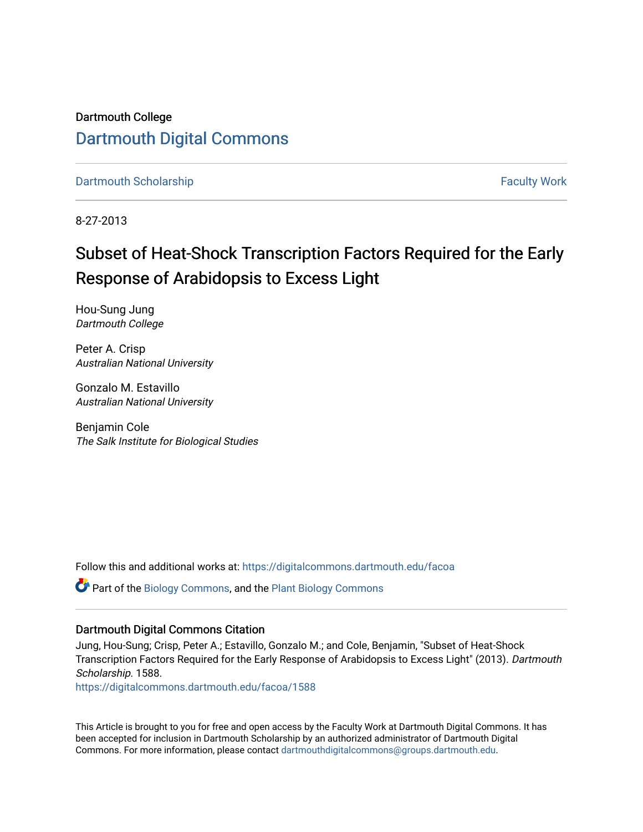Dartmouth College [Dartmouth Digital Commons](https://digitalcommons.dartmouth.edu/) 

[Dartmouth Scholarship](https://digitalcommons.dartmouth.edu/facoa) [Faculty Work](https://digitalcommons.dartmouth.edu/faculty) and The Basic Scholarship Faculty Work Faculty Work

8-27-2013

## Subset of Heat-Shock Transcription Factors Required for the Early Response of Arabidopsis to Excess Light

Hou-Sung Jung Dartmouth College

Peter A. Crisp Australian National University

Gonzalo M. Estavillo Australian National University

Benjamin Cole The Salk Institute for Biological Studies

Follow this and additional works at: [https://digitalcommons.dartmouth.edu/facoa](https://digitalcommons.dartmouth.edu/facoa?utm_source=digitalcommons.dartmouth.edu%2Ffacoa%2F1588&utm_medium=PDF&utm_campaign=PDFCoverPages)

Part of the [Biology Commons,](http://network.bepress.com/hgg/discipline/41?utm_source=digitalcommons.dartmouth.edu%2Ffacoa%2F1588&utm_medium=PDF&utm_campaign=PDFCoverPages) and the [Plant Biology Commons](http://network.bepress.com/hgg/discipline/106?utm_source=digitalcommons.dartmouth.edu%2Ffacoa%2F1588&utm_medium=PDF&utm_campaign=PDFCoverPages) 

### Dartmouth Digital Commons Citation

Jung, Hou-Sung; Crisp, Peter A.; Estavillo, Gonzalo M.; and Cole, Benjamin, "Subset of Heat-Shock Transcription Factors Required for the Early Response of Arabidopsis to Excess Light" (2013). Dartmouth Scholarship. 1588.

[https://digitalcommons.dartmouth.edu/facoa/1588](https://digitalcommons.dartmouth.edu/facoa/1588?utm_source=digitalcommons.dartmouth.edu%2Ffacoa%2F1588&utm_medium=PDF&utm_campaign=PDFCoverPages) 

This Article is brought to you for free and open access by the Faculty Work at Dartmouth Digital Commons. It has been accepted for inclusion in Dartmouth Scholarship by an authorized administrator of Dartmouth Digital Commons. For more information, please contact [dartmouthdigitalcommons@groups.dartmouth.edu](mailto:dartmouthdigitalcommons@groups.dartmouth.edu).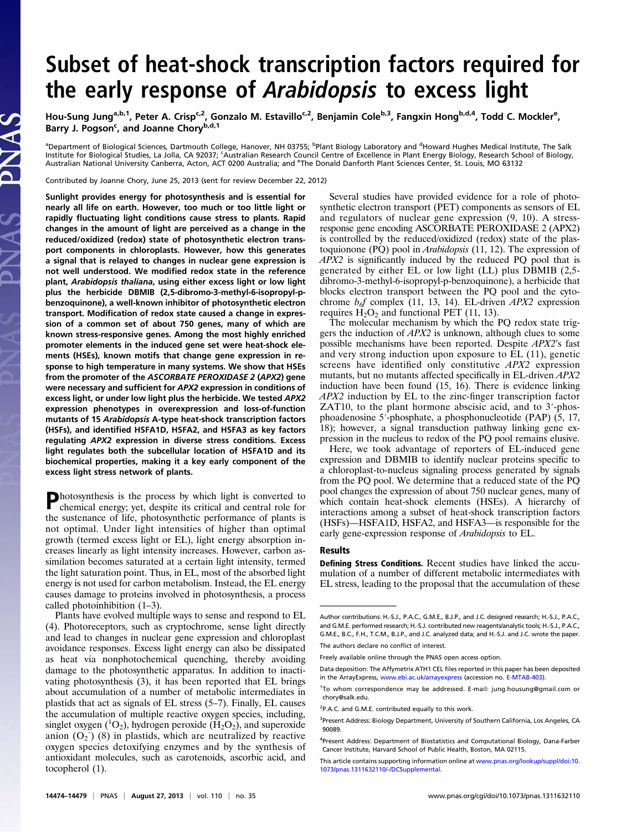# Subset of heat-shock transcription factors required for the early response of Arabidopsis to excess light

Hou-Sung Jung<sup>a,b,1</sup>, Peter A. Crisp<sup>c,2</sup>, Gonzalo M. Estavillo<sup>c,2</sup>, Benjamin Cole<sup>b,3</sup>, Fangxin Hong<sup>b,d,4</sup>, Todd C. Mockler<sup>e</sup>, Barry J. Pogson<sup>c</sup>, and Joanne Chory<sup>b,d,1</sup>

<sup>a</sup>Department of Biological Sciences, Dartmouth College, Hanover, NH 03755; <sup>b</sup>Plant Biology Laboratory and <sup>d</sup>Howard Hughes Medical Institute, The Salk Institute for Biological Studies, La Jolla, CA 92037; <sup>c</sup>Australian Research Council Centre of Excellence in Plant Energy Biology, Research School of Biology, Australian National University Canberra, Acton, ACT 0200 Australia; and <sup>e</sup>The Donald Danforth Plant Sciences Center, St. Louis, MO 63132

Contributed by Joanne Chory, June 25, 2013 (sent for review December 22, 2012)

Sunlight provides energy for photosynthesis and is essential for nearly all life on earth. However, too much or too little light or rapidly fluctuating light conditions cause stress to plants. Rapid changes in the amount of light are perceived as a change in the reduced/oxidized (redox) state of photosynthetic electron transport components in chloroplasts. However, how this generates a signal that is relayed to changes in nuclear gene expression is not well understood. We modified redox state in the reference plant, Arabidopsis thaliana, using either excess light or low light plus the herbicide DBMIB (2,5-dibromo-3-methyl-6-isopropyl-pbenzoquinone), a well-known inhibitor of photosynthetic electron transport. Modification of redox state caused a change in expression of a common set of about 750 genes, many of which are known stress-responsive genes. Among the most highly enriched promoter elements in the induced gene set were heat-shock elements (HSEs), known motifs that change gene expression in response to high temperature in many systems. We show that HSEs from the promoter of the ASCORBATE PEROXIDASE 2 (APX2) gene were necessary and sufficient for APX2 expression in conditions of excess light, or under low light plus the herbicide. We tested APX2 expression phenotypes in overexpression and loss-of-function mutants of 15 Arabidopsis A-type heat-shock transcription factors (HSFs), and identified HSFA1D, HSFA2, and HSFA3 as key factors regulating APX2 expression in diverse stress conditions. Excess light regulates both the subcellular location of HSFA1D and its biochemical properties, making it a key early component of the excess light stress network of plants.

Photosynthesis is the process by which light is converted to chemical energy; yet, despite its critical and central role for the sustenance of life, photosynthetic performance of plants is not optimal. Under light intensities of higher than optimal growth (termed excess light or EL), light energy absorption increases linearly as light intensity increases. However, carbon assimilation becomes saturated at a certain light intensity, termed the light saturation point. Thus, in EL, most of the absorbed light energy is not used for carbon metabolism. Instead, the EL energy causes damage to proteins involved in photosynthesis, a process called photoinhibition (1–3).

Plants have evolved multiple ways to sense and respond to EL (4). Photoreceptors, such as cryptochrome, sense light directly and lead to changes in nuclear gene expression and chloroplast avoidance responses. Excess light energy can also be dissipated as heat via nonphotochemical quenching, thereby avoiding damage to the photosynthetic apparatus. In addition to inactivating photosynthesis (3), it has been reported that EL brings about accumulation of a number of metabolic intermediates in plastids that act as signals of EL stress (5–7). Finally, EL causes the accumulation of multiple reactive oxygen species, including, singlet oxygen  $(^1O_2)$ , hydrogen peroxide  $(H_2O_2)$ , and superoxide anion  $(O_2$ )  $(8)$  in plastids, which are neutralized by reactive oxygen species detoxifying enzymes and by the synthesis of antioxidant molecules, such as carotenoids, ascorbic acid, and tocopherol (1).

Several studies have provided evidence for a role of photosynthetic electron transport (PET) components as sensors of EL and regulators of nuclear gene expression (9, 10). A stressresponse gene encoding ASCORBATE PEROXIDASE 2 (APX2) is controlled by the reduced/oxidized (redox) state of the plastoquionone (PQ) pool in Arabidopsis (11, 12). The expression of APX2 is significantly induced by the reduced PQ pool that is generated by either EL or low light (LL) plus DBMIB (2,5 dibromo-3-methyl-6-isopropyl-p-benzoquinone), a herbicide that blocks electron transport between the PQ pool and the cytochrome  $b_{\text{of}}$  complex (11, 13, 14). EL-driven *APX2* expression requires  $H_2O_2$  and functional PET (11, 13).

The molecular mechanism by which the PQ redox state triggers the induction of APX2 is unknown, although clues to some possible mechanisms have been reported. Despite APX2's fast and very strong induction upon exposure to EL (11), genetic screens have identified only constitutive APX2 expression mutants, but no mutants affected specifically in EL-driven APX2 induction have been found (15, 16). There is evidence linking APX2 induction by EL to the zinc-finger transcription factor ZAT10, to the plant hormone abscisic acid, and to 3′-phosphoadenosine 5′-phosphate, a phosphonucleotide (PAP) (5, 17, 18); however, a signal transduction pathway linking gene expression in the nucleus to redox of the PQ pool remains elusive.

Here, we took advantage of reporters of EL-induced gene expression and DBMIB to identify nuclear proteins specific to a chloroplast-to-nucleus signaling process generated by signals from the PQ pool. We determine that a reduced state of the PQ pool changes the expression of about 750 nuclear genes, many of which contain heat-shock elements (HSEs). A hierarchy of interactions among a subset of heat-shock transcription factors (HSFs)—HSFA1D, HSFA2, and HSFA3—is responsible for the early gene-expression response of *Arabidopsis* to EL.

#### Results

Defining Stress Conditions. Recent studies have linked the accumulation of a number of different metabolic intermediates with EL stress, leading to the proposal that the accumulation of these

Author contributions: H.-S.J., P.A.C., G.M.E., B.J.P., and J.C. designed research; H.-S.J., P.A.C., and G.M.E. performed research; H.-S.J. contributed new reagents/analytic tools; H.-S.J., P.A.C., G.M.E., B.C., F.H., T.C.M., B.J.P., and J.C. analyzed data; and H.-S.J. and J.C. wrote the paper. The authors declare no conflict of interest.

Freely available online through the PNAS open access option.

Data deposition: The Affymetrix ATH1 CEL files reported in this paper has been deposited in the ArrayExpress, [www.ebi.ac.uk/arrayexpress](http://www.ebi.ac.uk/arrayexpress) (accession no. [E-MTAB-403](http://www.ebi.ac.uk/microarray-as/ae/browse.html?keywords=E-MTAB-403)).

<sup>&</sup>lt;sup>1</sup>To whom correspondence may be addressed. E-mail: [jung.housung@gmail.com](mailto:jung.housung@gmail.com) or [chory@salk.edu](mailto:chory@salk.edu).

<sup>&</sup>lt;sup>2</sup>P.A.C. and G.M.E. contributed equally to this work.

<sup>&</sup>lt;sup>3</sup>Present Address: Biology Department, University of Southern California, Los Angeles, CA 90089.

<sup>4</sup> Present Address: Department of Biostatistics and Computational Biology, Dana-Farber Cancer Institute, Harvard School of Public Health, Boston, MA 02115.

This article contains supporting information online at [www.pnas.org/lookup/suppl/doi:10.](http://www.pnas.org/lookup/suppl/doi:10.1073/pnas.1311632110/-/DCSupplemental) [1073/pnas.1311632110/-/DCSupplemental.](http://www.pnas.org/lookup/suppl/doi:10.1073/pnas.1311632110/-/DCSupplemental)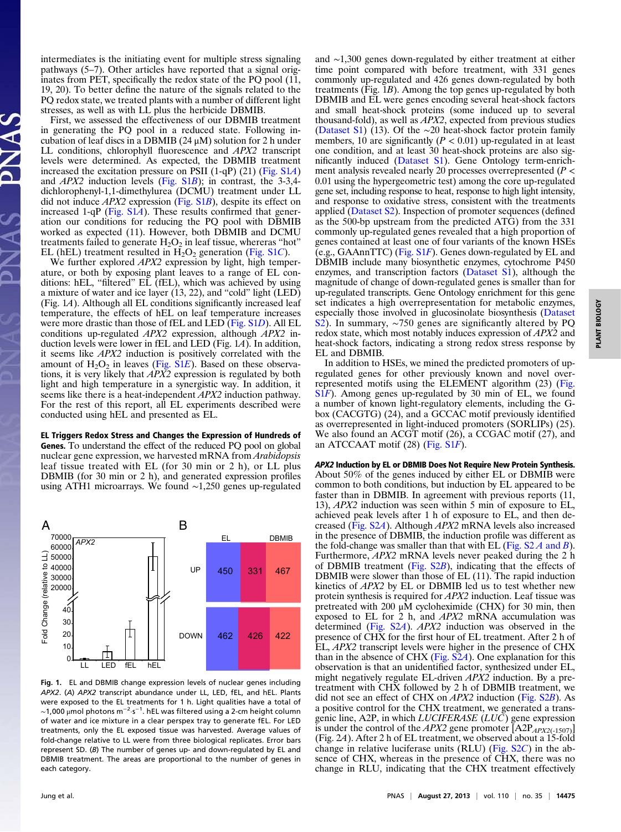intermediates is the initiating event for multiple stress signaling pathways (5–7). Other articles have reported that a signal originates from PET, specifically the redox state of the PQ pool (11, 19, 20). To better define the nature of the signals related to the PQ redox state, we treated plants with a number of different light stresses, as well as with LL plus the herbicide DBMIB.

First, we assessed the effectiveness of our DBMIB treatment in generating the PQ pool in a reduced state. Following incubation of leaf discs in a DBMIB ( $24 \mu$ M) solution for 2 h under LL conditions, chlorophyll fluorescence and APX2 transcript levels were determined. As expected, the DBMIB treatment increased the excitation pressure on PSII (1-qP) (21) [\(Fig. S1](http://www.pnas.org/lookup/suppl/doi:10.1073/pnas.1311632110/-/DCSupplemental/pnas.201311632SI.pdf?targetid=nameddest=SF1)A) and APX2 induction levels [\(Fig. S1](http://www.pnas.org/lookup/suppl/doi:10.1073/pnas.1311632110/-/DCSupplemental/pnas.201311632SI.pdf?targetid=nameddest=SF1)B); in contrast, the 3-3,4 dichlorophenyl-1,1-dimethylurea (DCMU) treatment under LL did not induce  $APX2$  expression [\(Fig. S1](http://www.pnas.org/lookup/suppl/doi:10.1073/pnas.1311632110/-/DCSupplemental/pnas.201311632SI.pdf?targetid=nameddest=SF1)B), despite its effect on increased 1-qP (Fig.  $S1A$ ). These results confirmed that generation our conditions for reducing the PQ pool with DBMIB worked as expected (11). However, both DBMIB and DCMU treatments failed to generate  $H_2O_2$  in leaf tissue, where ras "hot" EL (hEL) treatment resulted in  $H_2O_2$  generation ([Fig. S1](http://www.pnas.org/lookup/suppl/doi:10.1073/pnas.1311632110/-/DCSupplemental/pnas.201311632SI.pdf?targetid=nameddest=SF1)C).

We further explored *APX2* expression by light, high temperature, or both by exposing plant leaves to a range of EL conditions: hEL, "filtered" EL (fEL), which was achieved by using a mixture of water and ice layer (13, 22), and "cold" light (LED) (Fig. 1A). Although all EL conditions significantly increased leaf temperature, the effects of hEL on leaf temperature increases were more drastic than those of fEL and LED [\(Fig. S1](http://www.pnas.org/lookup/suppl/doi:10.1073/pnas.1311632110/-/DCSupplemental/pnas.201311632SI.pdf?targetid=nameddest=SF1)D). All EL conditions up-regulated APX2 expression, although APX2 induction levels were lower in fEL and LED (Fig. 1A). In addition, it seems like APX2 induction is positively correlated with the amount of  $H_2O_2$  in leaves ([Fig. S1](http://www.pnas.org/lookup/suppl/doi:10.1073/pnas.1311632110/-/DCSupplemental/pnas.201311632SI.pdf?targetid=nameddest=SF1)E). Based on these observations, it is very likely that  $APX2$  expression is regulated by both light and high temperature in a synergistic way. In addition, it seems like there is a heat-independent APX2 induction pathway. For the rest of this report, all EL experiments described were conducted using hEL and presented as EL.

EL Triggers Redox Stress and Changes the Expression of Hundreds of Genes. To understand the effect of the reduced PQ pool on global nuclear gene expression, we harvested mRNA from *Arabidopsis* leaf tissue treated with EL (for 30 min or 2 h), or LL plus DBMIB (for 30 min or 2 h), and generated expression profiles using ATH1 microarrays. We found ∼1,250 genes up-regulated



Fig. 1. EL and DBMIB change expression levels of nuclear genes including APX2. (A) APX2 transcript abundance under LL, LED, fEL, and hEL. Plants were exposed to the EL treatments for 1 h. Light qualities have a total of  $\sim$ 1,000 μmol photons m $^{-2}\cdot$ s $^{-1}$ . hEL was filtered using a 2-cm height column of water and ice mixture in a clear perspex tray to generate fEL. For LED treatments, only the EL exposed tissue was harvested. Average values of fold-change relative to LL were from three biological replicates. Error bars represent SD. (B) The number of genes up- and down-regulated by EL and DBMIB treatment. The areas are proportional to the number of genes in each category.

and ∼1,300 genes down-regulated by either treatment at either time point compared with before treatment, with 331 genes commonly up-regulated and 426 genes down-regulated by both treatments (Fig. 1B). Among the top genes up-regulated by both DBMIB and EL were genes encoding several heat-shock factors and small heat-shock proteins (some induced up to several thousand-fold), as well as APX2, expected from previous studies [\(Dataset S1](http://www.pnas.org/lookup/suppl/doi:10.1073/pnas.1311632110/-/DCSupplemental/sd01.xlsx)) (13). Of the ∼20 heat-shock factor protein family members, 10 are significantly ( $P < 0.01$ ) up-regulated in at least one condition, and at least 30 heat-shock proteins are also significantly induced ([Dataset S1](http://www.pnas.org/lookup/suppl/doi:10.1073/pnas.1311632110/-/DCSupplemental/sd01.xlsx)). Gene Ontology term-enrichment analysis revealed nearly 20 processes overrepresented ( $P$  < 0.01 using the hypergeometric test) among the core up-regulated gene set, including response to heat, response to high light intensity, and response to oxidative stress, consistent with the treatments applied ([Dataset S2\)](http://www.pnas.org/lookup/suppl/doi:10.1073/pnas.1311632110/-/DCSupplemental/sd02.xlsx). Inspection of promoter sequences (defined as the 500-bp upstream from the predicted ATG) from the 331 commonly up-regulated genes revealed that a high proportion of genes contained at least one of four variants of the known HSEs  $(e.g., GAAnnTTC)$  [\(Fig. S1](http://www.pnas.org/lookup/suppl/doi:10.1073/pnas.1311632110/-/DCSupplemental/pnas.201311632SI.pdf?targetid=nameddest=SF1)F). Genes down-regulated by EL and DBMIB include many biosynthetic enzymes, cytochrome P450 enzymes, and transcription factors [\(Dataset S1](http://www.pnas.org/lookup/suppl/doi:10.1073/pnas.1311632110/-/DCSupplemental/sd01.xlsx)), although the magnitude of change of down-regulated genes is smaller than for up-regulated transcripts. Gene Ontology enrichment for this gene set indicates a high overrepresentation for metabolic enzymes, especially those involved in glucosinolate biosynthesis [\(Dataset](http://www.pnas.org/lookup/suppl/doi:10.1073/pnas.1311632110/-/DCSupplemental/sd02.xlsx) [S2\)](http://www.pnas.org/lookup/suppl/doi:10.1073/pnas.1311632110/-/DCSupplemental/sd02.xlsx). In summary, ∼750 genes are significantly altered by PQ redox state, which most notably induces expression of APX2 and heat-shock factors, indicating a strong redox stress response by EL and DBMIB.

In addition to HSEs, we mined the predicted promoters of upregulated genes for other previously known and novel overrepresented motifs using the ELEMENT algorithm (23) [\(Fig.](http://www.pnas.org/lookup/suppl/doi:10.1073/pnas.1311632110/-/DCSupplemental/pnas.201311632SI.pdf?targetid=nameddest=SF1) [S1](http://www.pnas.org/lookup/suppl/doi:10.1073/pnas.1311632110/-/DCSupplemental/pnas.201311632SI.pdf?targetid=nameddest=SF1)F). Among genes up-regulated by 30 min of EL, we found a number of known light-regulatory elements, including the Gbox (CACGTG) (24), and a GCCAC motif previously identified as overrepresented in light-induced promoters (SORLIPs) (25). We also found an ACGT motif (26), a CCGAC motif (27), and an ATCCAAT motif (28) [\(Fig. S1](http://www.pnas.org/lookup/suppl/doi:10.1073/pnas.1311632110/-/DCSupplemental/pnas.201311632SI.pdf?targetid=nameddest=SF1)F).

APX2 Induction by EL or DBMIB Does Not Require New Protein Synthesis. About 50% of the genes induced by either EL or DBMIB were common to both conditions, but induction by EL appeared to be faster than in DBMIB. In agreement with previous reports (11, 13), APX2 induction was seen within 5 min of exposure to EL, achieved peak levels after 1 h of exposure to EL, and then decreased [\(Fig. S2](http://www.pnas.org/lookup/suppl/doi:10.1073/pnas.1311632110/-/DCSupplemental/pnas.201311632SI.pdf?targetid=nameddest=SF2)A). Although APX2 mRNA levels also increased in the presence of DBMIB, the induction profile was different as the fold-change was smaller than that with EL (Fig.  $S2A$  and B). Furthermore, APX2 mRNA levels never peaked during the 2 h of DBMIB treatment ([Fig. S2](http://www.pnas.org/lookup/suppl/doi:10.1073/pnas.1311632110/-/DCSupplemental/pnas.201311632SI.pdf?targetid=nameddest=SF2)B), indicating that the effects of DBMIB were slower than those of EL (11). The rapid induction kinetics of APX2 by EL or DBMIB led us to test whether new protein synthesis is required for APX2 induction. Leaf tissue was pretreated with 200 μM cycloheximide (CHX) for 30 min, then exposed to EL for 2 h, and APX2 mRNA accumulation was determined ([Fig. S2](http://www.pnas.org/lookup/suppl/doi:10.1073/pnas.1311632110/-/DCSupplemental/pnas.201311632SI.pdf?targetid=nameddest=SF2)A). APX2 induction was observed in the presence of CHX for the first hour of EL treatment. After 2 h of EL, APX2 transcript levels were higher in the presence of CHX than in the absence of CHX [\(Fig. S2](http://www.pnas.org/lookup/suppl/doi:10.1073/pnas.1311632110/-/DCSupplemental/pnas.201311632SI.pdf?targetid=nameddest=SF2)A). One explanation for this observation is that an unidentified factor, synthesized under EL, might negatively regulate EL-driven APX2 induction. By a pretreatment with CHX followed by 2 h of DBMIB treatment, we did not see an effect of CHX on  $APX2$  induction [\(Fig. S2](http://www.pnas.org/lookup/suppl/doi:10.1073/pnas.1311632110/-/DCSupplemental/pnas.201311632SI.pdf?targetid=nameddest=SF2)B). As a positive control for the CHX treatment, we generated a transgenic line, A2P, in which *LUCIFERASE* ( $LU\bar{C}$ ) gene expression is under the control of the APX2 gene promoter  $[A2P_{APX2(-1507)}]$ (Fig. 2A). After 2 h of EL treatment, we observed about a 15-fold change in relative luciferase units (RLU) [\(Fig. S2](http://www.pnas.org/lookup/suppl/doi:10.1073/pnas.1311632110/-/DCSupplemental/pnas.201311632SI.pdf?targetid=nameddest=SF2)C) in the absence of CHX, whereas in the presence of CHX, there was no change in RLU, indicating that the CHX treatment effectively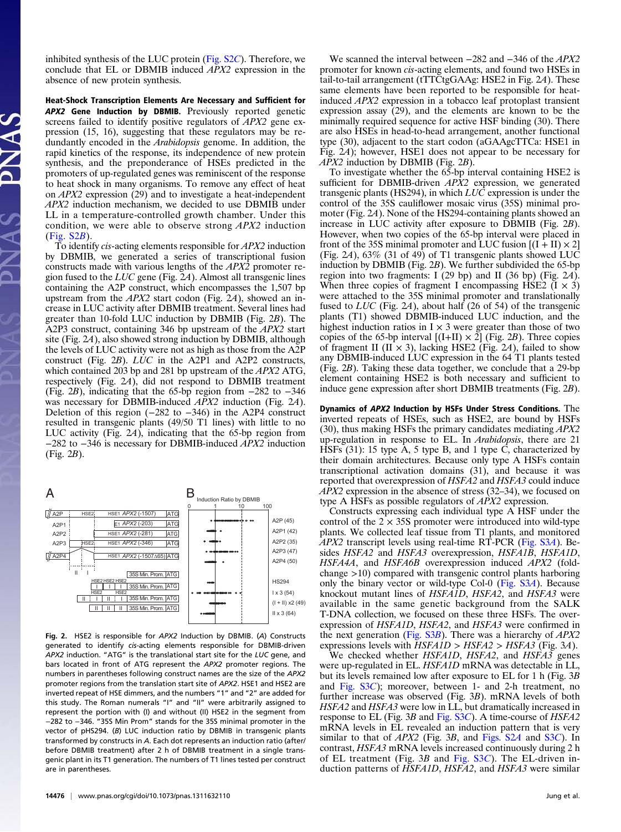inhibited synthesis of the LUC protein [\(Fig. S2](http://www.pnas.org/lookup/suppl/doi:10.1073/pnas.1311632110/-/DCSupplemental/pnas.201311632SI.pdf?targetid=nameddest=SF2)C). Therefore, we conclude that EL or DBMIB induced APX2 expression in the absence of new protein synthesis.

Heat-Shock Transcription Elements Are Necessary and Sufficient for APX2 Gene Induction by DBMIB. Previously reported genetic screens failed to identify positive regulators of APX2 gene expression (15, 16), suggesting that these regulators may be redundantly encoded in the *Arabidopsis* genome. In addition, the rapid kinetics of the response, its independence of new protein synthesis, and the preponderance of HSEs predicted in the promoters of up-regulated genes was reminiscent of the response to heat shock in many organisms. To remove any effect of heat on APX2 expression (29) and to investigate a heat-independent APX2 induction mechanism, we decided to use DBMIB under LL in a temperature-controlled growth chamber. Under this condition, we were able to observe strong APX2 induction [\(Fig. S2](http://www.pnas.org/lookup/suppl/doi:10.1073/pnas.1311632110/-/DCSupplemental/pnas.201311632SI.pdf?targetid=nameddest=SF2)B).

To identify cis-acting elements responsible for APX2 induction by DBMIB, we generated a series of transcriptional fusion constructs made with various lengths of the APX2 promoter region fused to the  $LUC$  gene (Fig. 2A). Almost all transgenic lines containing the A2P construct, which encompasses the 1,507 bp upstream from the APX2 start codon (Fig. 2A), showed an increase in LUC activity after DBMIB treatment. Several lines had greater than 10-fold LUC induction by DBMIB (Fig. 2B). The A2P3 construct, containing 346 bp upstream of the APX2 start site (Fig. 2A), also showed strong induction by DBMIB, although the levels of LUC activity were not as high as those from the A2P construct (Fig. 2B).  $L\dot{U}C$  in the A2P1 and A2P2 constructs, which contained 203 bp and 281 bp upstream of the  $APX2$  ATG, respectively (Fig. 2A), did not respond to DBMIB treatment (Fig. 2B), indicating that the 65-bp region from −282 to −346 was necessary for DBMIB-induced *APX2* induction (Fig. 2A). Deletion of this region (−282 to −346) in the A2P4 construct resulted in transgenic plants (49/50 T1 lines) with little to no LUC activity (Fig. 2A), indicating that the 65-bp region from −282 to −346 is necessary for DBMIB-induced APX2 induction (Fig. 2B).

ATG ATG **ATG** ATG E1 *APX2* (-203) HSE1 HSE2 *APX2* (-1507) HSE1 *APX2* (-346) HSE1 *APX2* (-281) HSE1 HSE2 *APX2* (-1507∆65) A A2P (45) Induction Ratio by DBMIB II I 35S Min. Prom. ATG HSE2 HSE2 HSE2<br>| | | | | | 35S Min. Prom. |ATG HSE2 HSE2<br>II | | | | | | 35S Min. Prom. |ATG II | II | II | 35S Min. Prom. ATG B 0 1 10 100 A2P1 (42) A2P2 (35) A2P3 (47) A2P4 (50) HS294 I x 3 (54)  $(I + II)$  x2 (49) II x 3 (64)  $\sqrt{A2P}$ A2P1 A2P2 A2P3  $\sqrt{$  A2P4 i) ATG

Fig. 2. HSE2 is responsible for APX2 Induction by DBMIB. (A) Constructs generated to identify cis-acting elements responsible for DBMIB-driven APX2 induction. "ATG" is the translational start site for the LUC gene, and bars located in front of ATG represent the APX2 promoter regions. The numbers in parentheses following construct names are the size of the APX2 promoter regions from the translation start site of APX2. HSE1 and HSE2 are inverted repeat of HSE dimmers, and the numbers "1" and "2" are added for this study. The Roman numerals "I" and "II" were arbitrarily assigned to represent the portion with (I) and without (II) HSE2 in the segment from −282 to −346. "35S Min Prom" stands for the 35S minimal promoter in the vector of pHS294. (B) LUC induction ratio by DBMIB in transgenic plants transformed by constructs in A. Each dot represents an induction ratio (after/ before DBMIB treatment) after 2 h of DBMIB treatment in a single transgenic plant in its T1 generation. The numbers of T1 lines tested per construct are in parentheses.

We scanned the interval between –282 and –346 of the *APX2* promoter for known cis-acting elements, and found two HSEs in tail-to-tail arrangement (tTTCtgGAAg: HSE2 in Fig. 2A). These same elements have been reported to be responsible for heatinduced APX2 expression in a tobacco leaf protoplast transient expression assay (29), and the elements are known to be the minimally required sequence for active HSF binding (30). There are also HSEs in head-to-head arrangement, another functional type (30), adjacent to the start codon (aGAAgcTTCa: HSE1 in Fig. 2A); however, HSE1 does not appear to be necessary for  $APX2$  induction by DBMIB (Fig. 2B).

To investigate whether the 65-bp interval containing HSE2 is sufficient for DBMIB-driven APX2 expression, we generated transgenic plants (HS294), in which  $LUC$  expression is under the control of the 35S cauliflower mosaic virus (35S) minimal promoter (Fig. 2A). None of the HS294-containing plants showed an increase in LUC activity after exposure to DBMIB (Fig. 2B). However, when two copies of the 65-bp interval were placed in front of the 35S minimal promoter and LUC fusion  $[(I + II) \times 2]$ (Fig. 2A),  $63\%$  (31 of 49) of T1 transgenic plants showed LUC induction by DBMIB (Fig. 2B). We further subdivided the 65-bp region into two fragments: I (29 bp) and II (36 bp) (Fig. 2A). When three copies of fragment I encompassing HSE2  $(I \times 3)$ were attached to the 35S minimal promoter and translationally fused to LUC (Fig. 2A), about half (26 of 54) of the transgenic plants (T1) showed DBMIB-induced LUC induction, and the highest induction ratios in  $I \times 3$  were greater than those of two copies of the 65-bp interval  $[(I+II) \times 2]$  (Fig. 2B). Three copies of fragment II (II  $\times$  3), lacking HSE2 (Fig. 24), failed to show any DBMIB-induced LUC expression in the 64 T1 plants tested (Fig. 2B). Taking these data together, we conclude that a 29-bp element containing HSE2 is both necessary and sufficient to induce gene expression after short DBMIB treatments (Fig. 2B).

Dynamics of APX2 Induction by HSFs Under Stress Conditions. The inverted repeats of HSEs, such as HSE2, are bound by HSFs  $(30)$ , thus making HSFs the primary candidates mediating  $APX2$ up-regulation in response to EL. In *Arabidopsis*, there are 21 HSFs (31): 15 type A, 5 type B, and 1 type C, characterized by their domain architectures. Because only type A HSFs contain transcriptional activation domains (31), and because it was reported that overexpression of HSFA2 and HSFA3 could induce  $APX2$  expression in the absence of stress (32–34), we focused on type A HSFs as possible regulators of APX2 expression.

Constructs expressing each individual type A HSF under the control of the  $2 \times 35S$  promoter were introduced into wild-type plants. We collected leaf tissue from T1 plants, and monitored APX2 transcript levels using real-time RT-PCR [\(Fig. S3](http://www.pnas.org/lookup/suppl/doi:10.1073/pnas.1311632110/-/DCSupplemental/pnas.201311632SI.pdf?targetid=nameddest=SF3)A). Besides HSFA2 and HSFA3 overexpression, HSFA1B, HSFA1D, HSFA4A, and HSFA6B overexpression induced APX2 (foldchange >10) compared with transgenic control plants harboring only the binary vector or wild-type Col-0 ([Fig. S3](http://www.pnas.org/lookup/suppl/doi:10.1073/pnas.1311632110/-/DCSupplemental/pnas.201311632SI.pdf?targetid=nameddest=SF3)A). Because knockout mutant lines of HSFA1D, HSFA2, and HSFA3 were available in the same genetic background from the SALK T-DNA collection, we focused on these three HSFs. The overexpression of HSFA1D, HSFA2, and HSFA3 were confirmed in the next generation (Fig.  $S3B$ ). There was a hierarchy of  $APX2$ expressions levels with  $HSEA1D > HSEA2 > HSEA3$  (Fig. 3A).

We checked whether HSFA1D, HSFA2, and HSFA3 genes were up-regulated in EL. HSFA1D mRNA was detectable in LL, but its levels remained low after exposure to EL for 1 h (Fig. 3B and [Fig. S3](http://www.pnas.org/lookup/suppl/doi:10.1073/pnas.1311632110/-/DCSupplemental/pnas.201311632SI.pdf?targetid=nameddest=SF3)C); moreover, between 1- and 2-h treatment, no further increase was observed (Fig. 3B). mRNA levels of both HSFA2 and HSFA3 were low in LL, but dramatically increased in response to EL (Fig. 3B and [Fig. S3](http://www.pnas.org/lookup/suppl/doi:10.1073/pnas.1311632110/-/DCSupplemental/pnas.201311632SI.pdf?targetid=nameddest=SF3)C). A time-course of HSFA2 mRNA levels in EL revealed an induction pattern that is very similar to that of  $APX2$  (Fig. 3B, and [Figs. S2](http://www.pnas.org/lookup/suppl/doi:10.1073/pnas.1311632110/-/DCSupplemental/pnas.201311632SI.pdf?targetid=nameddest=SF2)A and [S3](http://www.pnas.org/lookup/suppl/doi:10.1073/pnas.1311632110/-/DCSupplemental/pnas.201311632SI.pdf?targetid=nameddest=SF3)C). In contrast, HSFA3 mRNA levels increased continuously during 2 h of EL treatment (Fig.  $3B$  and Fig.  $S3C$ ). The EL-driven induction patterns of HSFA1D, HSFA2, and HSFA3 were similar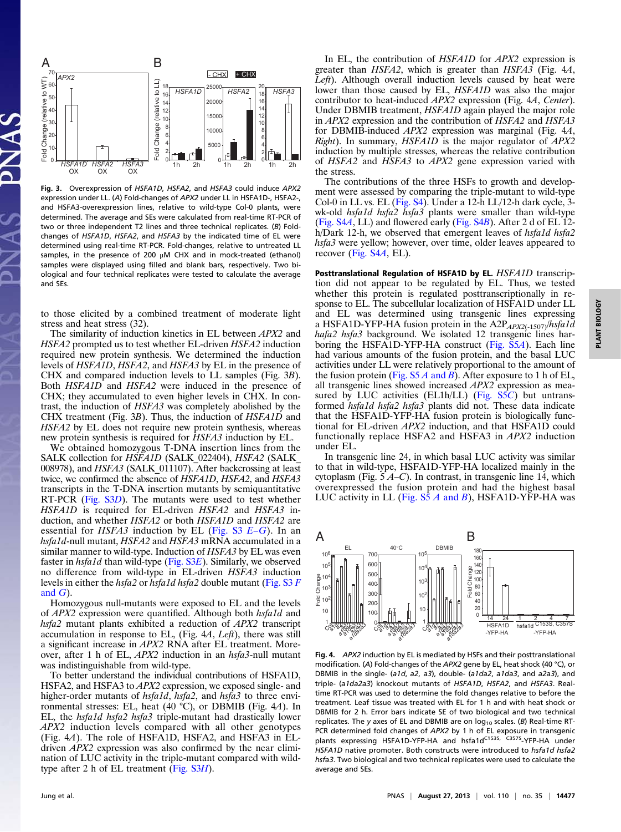

Fig. 3. Overexpression of HSFA1D, HSFA2, and HSFA3 could induce APX2 expression under LL. (A) Fold-changes of APX2 under LL in HSFA1D-, HSFA2-, and HSFA3-overexpression lines, relative to wild-type Col-0 plants, were determined. The average and SEs were calculated from real-time RT-PCR of two or three independent T2 lines and three technical replicates. (B) Foldchanges of HSFA1D, HSFA2, and HSFA3 by the indicated time of EL were determined using real-time RT-PCR. Fold-changes, relative to untreated LL samples, in the presence of 200 μM CHX and in mock-treated (ethanol) samples were displayed using filled and blank bars, respectively. Two biological and four technical replicates were tested to calculate the average and SEs.

to those elicited by a combined treatment of moderate light stress and heat stress (32).

The similarity of induction kinetics in EL between APX2 and HSFA2 prompted us to test whether EL-driven HSFA2 induction required new protein synthesis. We determined the induction levels of HSFA1D, HSFA2, and HSFA3 by EL in the presence of CHX and compared induction levels to LL samples (Fig. 3B). Both HSFA1D and HSFA2 were induced in the presence of CHX; they accumulated to even higher levels in CHX. In contrast, the induction of HSFA3 was completely abolished by the CHX treatment (Fig. 3B). Thus, the induction of HSFA1D and HSFA2 by EL does not require new protein synthesis, whereas new protein synthesis is required for HSFA3 induction by EL.

We obtained homozygous T-DNA insertion lines from the SALK collection for HSFA1D (SALK\_022404), HSFA2 (SALK\_ 008978), and *HSFA3* (SALK\_011107). After backcrossing at least twice, we confirmed the absence of HSFA1D, HSFA2, and HSFA3 transcripts in the T-DNA insertion mutants by semiquantitative RT-PCR ([Fig. S3](http://www.pnas.org/lookup/suppl/doi:10.1073/pnas.1311632110/-/DCSupplemental/pnas.201311632SI.pdf?targetid=nameddest=SF3)D). The mutants were used to test whether HSFA1D is required for EL-driven HSFA2 and HSFA3 induction, and whether HSFA2 or both HSFA1D and HSFA2 are essential for  $HSEA3$  induction by EL ([Fig. S3](http://www.pnas.org/lookup/suppl/doi:10.1073/pnas.1311632110/-/DCSupplemental/pnas.201311632SI.pdf?targetid=nameddest=SF3)  $E-G$  $E-G$ ). In an hsfa1d-null mutant, HSFA2 and HSFA3 mRNA accumulated in a similar manner to wild-type. Induction of HSFA3 by EL was even faster in *hsfa1d* than wild-type [\(Fig. S3](http://www.pnas.org/lookup/suppl/doi:10.1073/pnas.1311632110/-/DCSupplemental/pnas.201311632SI.pdf?targetid=nameddest=SF3)E). Similarly, we observed no difference from wild-type in EL-driven HSFA3 induction levels in either the hsfa2 or hsfa1d hsfa2 double mutant [\(Fig. S3](http://www.pnas.org/lookup/suppl/doi:10.1073/pnas.1311632110/-/DCSupplemental/pnas.201311632SI.pdf?targetid=nameddest=SF3) F [and](http://www.pnas.org/lookup/suppl/doi:10.1073/pnas.1311632110/-/DCSupplemental/pnas.201311632SI.pdf?targetid=nameddest=SF3)  $G$ ).

Homozygous null-mutants were exposed to EL and the levels of *APX2* expression were quantified. Although both *hsfald* and hsfa2 mutant plants exhibited a reduction of APX2 transcript accumulation in response to EL, (Fig. 4A, Left), there was still a significant increase in APX2 RNA after EL treatment. Moreover, after 1 h of EL, APX2 induction in an hsfa3-null mutant was indistinguishable from wild-type.

To better understand the individual contributions of HSFA1D, HSFA2, and HSFA3 to APX2 expression, we exposed single- and higher-order mutants of *hsfa1d*, *hsfa2*, and *hsfa3* to three environmental stresses: EL, heat (40 °C), or DBMIB (Fig. 4A). In EL, the hsfa1d hsfa2 hsfa3 triple-mutant had drastically lower APX2 induction levels compared with all other genotypes (Fig. 4A). The role of HSFA1D, HSFA2, and HSFA3 in ELdriven APX2 expression was also confirmed by the near elimination of LUC activity in the triple-mutant compared with wildtype after 2 h of EL treatment (Fig.  $S3H$ ).

In EL, the contribution of *HSFA1D* for *APX2* expression is greater than HSFA2, which is greater than HSFA3 (Fig. 4A,  $Left$ ). Although overall induction levels caused by heat were lower than those caused by EL, *HSFA1D* was also the major contributor to heat-induced APX2 expression (Fig. 4A, Center). Under DBMIB treatment, HSFA1D again played the major role in APX2 expression and the contribution of HSFA2 and HSFA3 for DBMIB-induced APX2 expression was marginal (Fig. 4A, Right). In summary, HSFA1D is the major regulator of APX2 induction by multiple stresses, whereas the relative contribution of HSFA2 and HSFA3 to APX2 gene expression varied with the stress.

The contributions of the three HSFs to growth and development were assessed by comparing the triple-mutant to wild-type Col-0 in LL vs. EL ([Fig. S4\)](http://www.pnas.org/lookup/suppl/doi:10.1073/pnas.1311632110/-/DCSupplemental/pnas.201311632SI.pdf?targetid=nameddest=SF4). Under a 12-h LL/12-h dark cycle, 3 wk-old hsfa1d hsfa2 hsfa3 plants were smaller than wild-type [\(Fig. S4](http://www.pnas.org/lookup/suppl/doi:10.1073/pnas.1311632110/-/DCSupplemental/pnas.201311632SI.pdf?targetid=nameddest=SF4)A, LL) and flowered early ([Fig. S4](http://www.pnas.org/lookup/suppl/doi:10.1073/pnas.1311632110/-/DCSupplemental/pnas.201311632SI.pdf?targetid=nameddest=SF4)B). After 2 d of EL 12 h/Dark 12-h, we observed that emergent leaves of *hsfa1d hsfa2* hsfa3 were yellow; however, over time, older leaves appeared to recover [\(Fig. S4](http://www.pnas.org/lookup/suppl/doi:10.1073/pnas.1311632110/-/DCSupplemental/pnas.201311632SI.pdf?targetid=nameddest=SF4)A, EL).

Posttranslational Regulation of HSFA1D by EL. HSFA1D transcription did not appear to be regulated by EL. Thus, we tested whether this protein is regulated posttranscriptionally in response to EL. The subcellular localization of HSFA1D under LL and EL was determined using transgenic lines expressing a HSFA1D-YFP-HA fusion protein in the A2P<sub>APX2(-1507)</sub>/hsfa1d hafa2 hsfa3 background. We isolated 12 transgenic lines har-boring the HSFA1D-YFP-HA construct [\(Fig. S5](http://www.pnas.org/lookup/suppl/doi:10.1073/pnas.1311632110/-/DCSupplemental/pnas.201311632SI.pdf?targetid=nameddest=SF5)A). Each line had various amounts of the fusion protein, and the basal LUC activities under LL were relatively proportional to the amount of the fusion protein (Fig.  $S5A$  and B). After exposure to 1 h of EL, all transgenic lines showed increased APX2 expression as mea-sured by LUC activities (EL1h/LL) [\(Fig. S5](http://www.pnas.org/lookup/suppl/doi:10.1073/pnas.1311632110/-/DCSupplemental/pnas.201311632SI.pdf?targetid=nameddest=SF5)C) but untransformed *hsfa1d hsfa2 hsfa3* plants did not. These data indicate that the HSFA1D-YFP-HA fusion protein is biologically functional for EL-driven APX2 induction, and that HSFA1D could functionally replace HSFA2 and HSFA3 in APX2 induction under EL.

In transgenic line 24, in which basal LUC activity was similar to that in wild-type, HSFA1D-YFP-HA localized mainly in the cytoplasm (Fig.  $5A-C$ ). In contrast, in transgenic line 14, which overexpressed the fusion protein and had the highest basal LUC activity in LL (Fig.  $S5 \, A$  and B), HSFA1D-YFP-HA was



Fig. 4. APX2 induction by EL is mediated by HSFs and their posttranslational modification. (A) Fold-changes of the APX2 gene by EL, heat shock (40 °C), or DBMIB in the single- (a1d, a2, a3), double- (a1da2, a1da3, and a2a3), and triple- (a1da2a3) knockout mutants of HSFA1D, HSFA2, and HSFA3. Realtime RT-PCR was used to determine the fold changes relative to before the treatment. Leaf tissue was treated with EL for 1 h and with heat shock or DBMIB for 2 h. Error bars indicate SE of two biological and two technical replicates. The y axes of EL and DBMIB are on  $log_{10}$  scales. (B) Real-time RT-PCR determined fold changes of APX2 by 1 h of EL exposure in transgenic plants expressing HSFA1D-YFP-HA and hsfa1d<sup>C153S, C357S</sup>-YFP-HA under HSFA1D native promoter. Both constructs were introduced to hsfa1d hsfa2 hsfa3. Two biological and two technical replicates were used to calculate the average and SEs.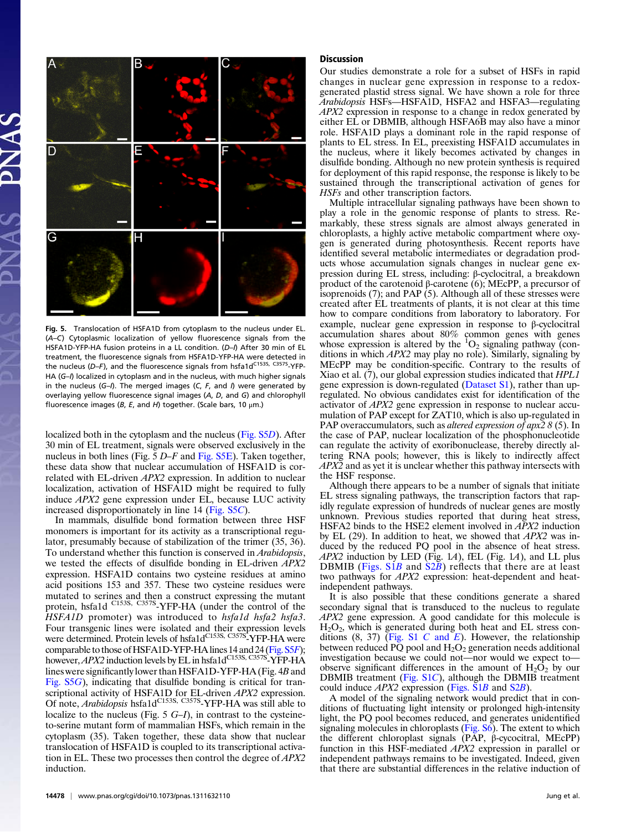

Fig. 5. Translocation of HSFA1D from cytoplasm to the nucleus under EL. (A–C) Cytoplasmic localization of yellow fluorescence signals from the HSFA1D-YFP-HA fusion proteins in a LL condition. (D-I) After 30 min of EL treatment, the fluorescence signals from HSFA1D-YFP-HA were detected in the nucleus ( $D-F$ ), and the fluorescence signals from hsfa1d<sup>C153S, C357S</sup>-YFP-HA (G-I) localized in cytoplasm and in the nucleus, with much higher signals in the nucleus  $(G-1)$ . The merged images  $(C, F, \text{ and } I)$  were generated by overlaying yellow fluorescence signal images (A, D, and G) and chlorophyll fluorescence images (B, E, and H) together. (Scale bars, 10  $\mu$ m.)

localized both in the cytoplasm and the nucleus [\(Fig. S5](http://www.pnas.org/lookup/suppl/doi:10.1073/pnas.1311632110/-/DCSupplemental/pnas.201311632SI.pdf?targetid=nameddest=SF5)D). After 30 min of EL treatment, signals were observed exclusively in the nucleus in both lines (Fig. 5 D–F and [Fig. S5E](http://www.pnas.org/lookup/suppl/doi:10.1073/pnas.1311632110/-/DCSupplemental/pnas.201311632SI.pdf?targetid=nameddest=SF5)). Taken together, these data show that nuclear accumulation of HSFA1D is correlated with EL-driven APX2 expression. In addition to nuclear localization, activation of HSFA1D might be required to fully induce APX2 gene expression under EL, because LUC activity increased disproportionately in line 14 [\(Fig. S5](http://www.pnas.org/lookup/suppl/doi:10.1073/pnas.1311632110/-/DCSupplemental/pnas.201311632SI.pdf?targetid=nameddest=SF5)C).

In mammals, disulfide bond formation between three HSF monomers is important for its activity as a transcriptional regulator, presumably because of stabilization of the trimer (35, 36). To understand whether this function is conserved in Arabidopsis, we tested the effects of disulfide bonding in EL-driven APX2 expression. HSFA1D contains two cysteine residues at amino acid positions 153 and 357. These two cysteine residues were mutated to serines and then a construct expressing the mutant protein, hsfa1d <sup>C153S, C357S</sup>-YFP-HA (under the control of the HSFA1D promoter) was introduced to hsfa1d hsfa2 hsfa3. Four transgenic lines were isolated and their expression levels were determined. Protein levels of hsfa1dC153S, C357S-YFP-HA were comparable to those of HSFA1D-YFP-HA lines 14 and 24 [\(Fig. S5](http://www.pnas.org/lookup/suppl/doi:10.1073/pnas.1311632110/-/DCSupplemental/pnas.201311632SI.pdf?targetid=nameddest=SF5)F); however,  $APX2$  induction levels by EL in hsfa1d<sup>C153S, C357S</sup>-YFP-HA lines were significantly lower than HSFA1D-YFP-HA (Fig. 4B and [Fig. S5](http://www.pnas.org/lookup/suppl/doi:10.1073/pnas.1311632110/-/DCSupplemental/pnas.201311632SI.pdf?targetid=nameddest=SF5)G), indicating that disulfide bonding is critical for transcriptional activity of HSFA1D for EL-driven *APX2* expression.<br>Of note, *Arabidopsis* hsfa1d<sup>C153S, C357S<sub>-</sub>YFP-HA was still able to</sup> localize to the nucleus (Fig.  $5 G-I$ ), in contrast to the cysteineto-serine mutant form of mammalian HSFs, which remain in the cytoplasm (35). Taken together, these data show that nuclear translocation of HSFA1D is coupled to its transcriptional activation in EL. These two processes then control the degree of APX2 induction.

#### Discussion

Our studies demonstrate a role for a subset of HSFs in rapid changes in nuclear gene expression in response to a redoxgenerated plastid stress signal. We have shown a role for three Arabidopsis HSFs—HSFA1D, HSFA2 and HSFA3—regulating APX2 expression in response to a change in redox generated by either EL or DBMIB, although HSFA6B may also have a minor role. HSFA1D plays a dominant role in the rapid response of plants to EL stress. In EL, preexisting HSFA1D accumulates in the nucleus, where it likely becomes activated by changes in disulfide bonding. Although no new protein synthesis is required for deployment of this rapid response, the response is likely to be sustained through the transcriptional activation of genes for HSFs and other transcription factors.

Multiple intracellular signaling pathways have been shown to play a role in the genomic response of plants to stress. Remarkably, these stress signals are almost always generated in chloroplasts, a highly active metabolic compartment where oxygen is generated during photosynthesis. Recent reports have identified several metabolic intermediates or degradation products whose accumulation signals changes in nuclear gene expression during EL stress, including: β-cyclocitral, a breakdown product of the carotenoid β-carotene (6); MEcPP, a precursor of isoprenoids (7); and PAP (5). Although all of these stresses were created after EL treatments of plants, it is not clear at this time how to compare conditions from laboratory to laboratory. For example, nuclear gene expression in response to β-cyclocitral accumulation shares about 80% common genes with genes whose expression is altered by the  ${}^{1}O_{2}$  signaling pathway (conditions in which APX2 may play no role). Similarly, signaling by MEcPP may be condition-specific. Contrary to the results of Xiao et al. (7), our global expression studies indicated that HPL1 gene expression is down-regulated [\(Dataset S1\)](http://www.pnas.org/lookup/suppl/doi:10.1073/pnas.1311632110/-/DCSupplemental/sd01.xlsx), rather than upregulated. No obvious candidates exist for identification of the activator of APX2 gene expression in response to nuclear accumulation of PAP except for ZAT10, which is also up-regulated in PAP overaccumulators, such as *altered expression of apx2 8* (5). In the case of PAP, nuclear localization of the phosphonucleotide can regulate the activity of exoribonuclease, thereby directly altering RNA pools; however, this is likely to indirectly affect APX2 and as yet it is unclear whether this pathway intersects with the HSF response.

Although there appears to be a number of signals that initiate EL stress signaling pathways, the transcription factors that rapidly regulate expression of hundreds of nuclear genes are mostly unknown. Previous studies reported that during heat stress, HSFA2 binds to the HSE2 element involved in APX2 induction by EL  $(29)$ . In addition to heat, we showed that  $APX2$  was induced by the reduced PQ pool in the absence of heat stress.  $APX2$  induction by LED (Fig. 1A), fEL (Fig. 1A), and LL plus DBMIB ([Figs. S1](http://www.pnas.org/lookup/suppl/doi:10.1073/pnas.1311632110/-/DCSupplemental/pnas.201311632SI.pdf?targetid=nameddest=SF1)B and [S2](http://www.pnas.org/lookup/suppl/doi:10.1073/pnas.1311632110/-/DCSupplemental/pnas.201311632SI.pdf?targetid=nameddest=SF2)B) reflects that there are at least two pathways for APX2 expression: heat-dependent and heatindependent pathways.

It is also possible that these conditions generate a shared secondary signal that is transduced to the nucleus to regulate APX2 gene expression. A good candidate for this molecule is  $H<sub>2</sub>O<sub>2</sub>$ , which is generated during both heat and EL stress conditions  $(8, 37)$  [\(Fig. S1](http://www.pnas.org/lookup/suppl/doi:10.1073/pnas.1311632110/-/DCSupplemental/pnas.201311632SI.pdf?targetid=nameddest=SF1) C and E). However, the relationship between reduced  $\overline{PQ}$  pool and  $H_2O_2$  generation needs additional investigation because we could not—nor would we expect to observe significant differences in the amount of  $H_2O_2$  by our DBMIB treatment ([Fig. S1](http://www.pnas.org/lookup/suppl/doi:10.1073/pnas.1311632110/-/DCSupplemental/pnas.201311632SI.pdf?targetid=nameddest=SF1)C), although the DBMIB treatment could induce  $APX2$  expression (Figs.  $\overline{S1B}$  and  $\overline{S2B}$  $\overline{S2B}$  $\overline{S2B}$ ).

A model of the signaling network would predict that in conditions of fluctuating light intensity or prolonged high-intensity light, the PQ pool becomes reduced, and generates unidentified signaling molecules in chloroplasts ([Fig. S6\)](http://www.pnas.org/lookup/suppl/doi:10.1073/pnas.1311632110/-/DCSupplemental/pnas.201311632SI.pdf?targetid=nameddest=SF6). The extent to which the different chloroplast signals (PAP, β-cycocitral, MEcPP) function in this HSF-mediated APX2 expression in parallel or independent pathways remains to be investigated. Indeed, given that there are substantial differences in the relative induction of